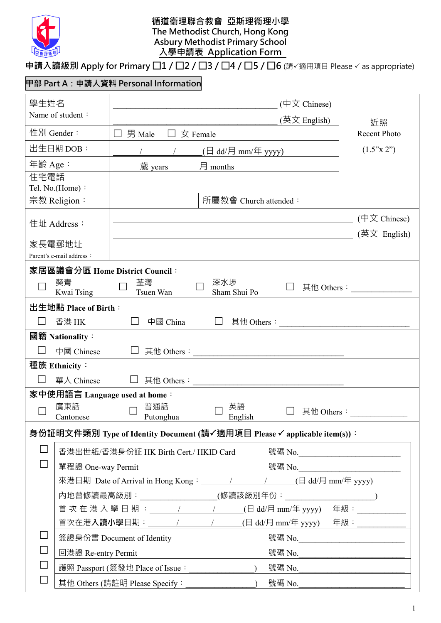

#### **循道衞理聯合教會 亞斯理衞理小學 The Methodist Church, Hong Kong Asbury Methodist Primary School 入學申請表 Application Form**

### **申請入讀級別 Apply for Primary □1 / □2 / □3 / □4 / □5 / □6** (請√適用項目 Please √ as appropriate)

## **甲部 Part A:申請人資料 Personal Information**

| 學生姓名                            |                                                                                 |                                  |                                                                                                                        | $(\nexists \Sigma \text{ Chinese})$ |                                     |  |
|---------------------------------|---------------------------------------------------------------------------------|----------------------------------|------------------------------------------------------------------------------------------------------------------------|-------------------------------------|-------------------------------------|--|
| Name of student:                |                                                                                 |                                  |                                                                                                                        | (英文 English)                        | 近照                                  |  |
| 性別 Gender:                      |                                                                                 | 男 Male                           | 女 Female                                                                                                               |                                     | <b>Recent Photo</b>                 |  |
| 出生日期 DOB:                       |                                                                                 |                                  | $\left(\begin{matrix} \Box \text{ dd}/\Xi \end{matrix}\right)$ mm/年 yyyy)                                              |                                     | (1.5"x 2")                          |  |
| 年齡 Age:                         |                                                                                 | 歲 years                          | 月 months                                                                                                               |                                     |                                     |  |
| 住宅電話                            |                                                                                 |                                  |                                                                                                                        |                                     |                                     |  |
| Tel. No.(Home):<br>宗教 Religion: |                                                                                 |                                  | 所屬教會 Church attended:                                                                                                  |                                     |                                     |  |
|                                 |                                                                                 |                                  |                                                                                                                        |                                     |                                     |  |
| 住址 Address:                     |                                                                                 |                                  | <u> 1980 - Johann Barn, mars eta bainar eta baina eta baina eta baina eta baina eta baina eta baina eta baina e</u> ta |                                     | $(\nexists \Sigma \text{ Chinese})$ |  |
| 家長電郵地址                          |                                                                                 |                                  |                                                                                                                        |                                     | (英文 English)                        |  |
|                                 | Parent's e-mail address:                                                        |                                  |                                                                                                                        |                                     |                                     |  |
|                                 |                                                                                 | 家居區議會分區 Home District Council:   |                                                                                                                        |                                     |                                     |  |
|                                 | 葵青                                                                              | 荃灣                               | 深水埗                                                                                                                    |                                     | 其他 Others:                          |  |
|                                 | Kwai Tsing                                                                      | Tsuen Wan                        | Sham Shui Po                                                                                                           |                                     |                                     |  |
|                                 | 出生地點 Place of Birth:                                                            |                                  |                                                                                                                        |                                     |                                     |  |
|                                 | 香港 HK                                                                           | 中國 China                         |                                                                                                                        | 其他 Others:                          |                                     |  |
|                                 | 國籍 Nationality:                                                                 |                                  |                                                                                                                        |                                     |                                     |  |
|                                 | 中國 Chinese                                                                      | 其他 Others:                       |                                                                                                                        |                                     |                                     |  |
| 種族 Ethnicity:                   |                                                                                 |                                  |                                                                                                                        |                                     |                                     |  |
|                                 | 華人 Chinese                                                                      |                                  |                                                                                                                        |                                     |                                     |  |
|                                 |                                                                                 | 家中使用語言 Language used at home:    |                                                                                                                        |                                     |                                     |  |
|                                 | 廣東話<br>Cantonese                                                                | 普通話<br>Putonghua                 | 英語<br>English                                                                                                          | 其他 Others:                          |                                     |  |
|                                 |                                                                                 |                                  | 身份証明文件類別 Type of Identity Document (請✓適用項目 Please ✓ applicable item(s)):                                               |                                     |                                     |  |
|                                 |                                                                                 |                                  |                                                                                                                        |                                     |                                     |  |
|                                 | 香港出世紙/香港身份証 HK Birth Cert./ HKID Card<br>號碼 No.                                 |                                  |                                                                                                                        |                                     |                                     |  |
|                                 | 單程證 One-way Permit<br>號碼 No._____________________________                       |                                  |                                                                                                                        |                                     |                                     |  |
|                                 | 來港日期 Date of Arrival in Hong Kong: __________________________(日 dd/月 mm/年 yyyy) |                                  |                                                                                                                        |                                     |                                     |  |
|                                 |                                                                                 |                                  |                                                                                                                        |                                     |                                     |  |
|                                 | 首 次 在 港 入 學 日 期 : _ _____ / ______ / _____ (日 dd/月 mm/年 yyyy) 年級 :              |                                  |                                                                                                                        |                                     |                                     |  |
|                                 |                                                                                 |                                  |                                                                                                                        |                                     |                                     |  |
|                                 |                                                                                 | 簽證身份書 Document of Identity       |                                                                                                                        | 號碼 No.                              |                                     |  |
|                                 | 回港證 Re-entry Permit                                                             |                                  |                                                                                                                        | 號碼 No. _____________                |                                     |  |
|                                 |                                                                                 | 護照 Passport (簽發地 Place of Issue: |                                                                                                                        |                                     |                                     |  |
|                                 |                                                                                 | 其他 Others (請註明 Please Specify:   |                                                                                                                        | 號碼 No.                              |                                     |  |